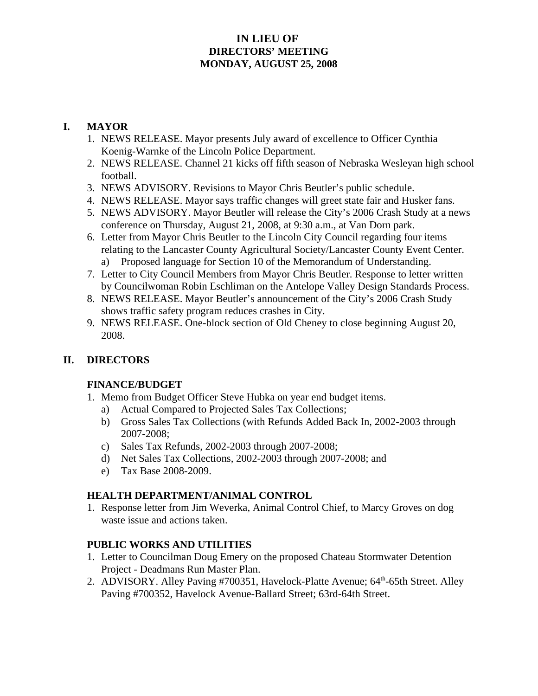### **IN LIEU OF DIRECTORS' MEETING MONDAY, AUGUST 25, 2008**

# **I. MAYOR**

- 1. NEWS RELEASE. Mayor presents July award of excellence to Officer Cynthia Koenig-Warnke of the Lincoln Police Department.
- 2. NEWS RELEASE. Channel 21 kicks off fifth season of Nebraska Wesleyan high school football.
- 3. NEWS ADVISORY. Revisions to Mayor Chris Beutler's public schedule.
- 4. NEWS RELEASE. Mayor says traffic changes will greet state fair and Husker fans.
- 5. NEWS ADVISORY. Mayor Beutler will release the City's 2006 Crash Study at a news conference on Thursday, August 21, 2008, at 9:30 a.m., at Van Dorn park.
- 6. Letter from Mayor Chris Beutler to the Lincoln City Council regarding four items relating to the Lancaster County Agricultural Society/Lancaster County Event Center. a) Proposed language for Section 10 of the Memorandum of Understanding.
- 7. Letter to City Council Members from Mayor Chris Beutler. Response to letter written by Councilwoman Robin Eschliman on the Antelope Valley Design Standards Process.
- 8. NEWS RELEASE. Mayor Beutler's announcement of the City's 2006 Crash Study shows traffic safety program reduces crashes in City.
- 9. NEWS RELEASE. One-block section of Old Cheney to close beginning August 20, 2008.

# **II. DIRECTORS**

# **FINANCE/BUDGET**

- 1. Memo from Budget Officer Steve Hubka on year end budget items.
	- a) Actual Compared to Projected Sales Tax Collections;
	- b) Gross Sales Tax Collections (with Refunds Added Back In, 2002-2003 through 2007-2008;
	- c) Sales Tax Refunds, 2002-2003 through 2007-2008;
	- d) Net Sales Tax Collections, 2002-2003 through 2007-2008; and
	- e) Tax Base 2008-2009.

# **HEALTH DEPARTMENT/ANIMAL CONTROL**

1. Response letter from Jim Weverka, Animal Control Chief, to Marcy Groves on dog waste issue and actions taken.

# **PUBLIC WORKS AND UTILITIES**

- 1. Letter to Councilman Doug Emery on the proposed Chateau Stormwater Detention Project - Deadmans Run Master Plan.
- 2. ADVISORY. Alley Paving #700351, Havelock-Platte Avenue; 64<sup>th</sup>-65th Street. Alley Paving #700352, Havelock Avenue-Ballard Street; 63rd-64th Street.